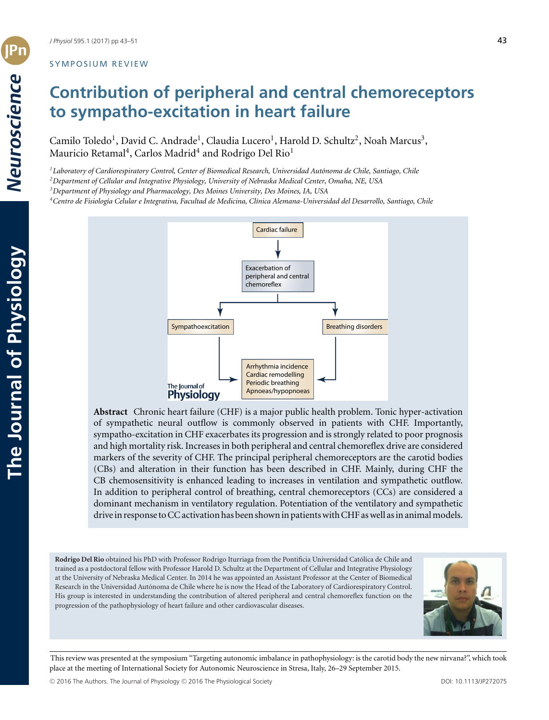# SYMPOSIUM REVIEW

# **Contribution of peripheral and central chemoreceptors to sympatho-excitation in heart failure**

Camilo Toledo<sup>1</sup>, David C. Andrade<sup>1</sup>, Claudia Lucero<sup>1</sup>, Harold D. Schultz<sup>2</sup>, Noah Marcus<sup>3</sup>, Mauricio Retamal<sup>4</sup>, Carlos Madrid<sup>4</sup> and Rodrigo Del Rio<sup>1</sup>

*1Laboratory of Cardiorespiratory Control, Center of Biomedical Research, Universidad Autonoma de Chile, Santiago, Chile ´*

*2Department of Cellular and Integrative Physiology, University of Nebraska Medical Center, Omaha, NE, USA*

*3Department of Physiology and Pharmacology, Des Moines University, Des Moines, IA, USA*

<sup>4</sup> Centro de Fisiología Celular e Integrativa, Facultad de Medicina, Clínica Alemana-Universidad del Desarrollo, Santiago, Chile



**Abstract** Chronic heart failure (CHF) is a major public health problem. Tonic hyper-activation of sympathetic neural outflow is commonly observed in patients with CHF. Importantly, sympatho-excitation in CHF exacerbates its progression and is strongly related to poor prognosis and high mortality risk. Increases in both peripheral and central chemoreflex drive are considered markers of the severity of CHF. The principal peripheral chemoreceptors are the carotid bodies (CBs) and alteration in their function has been described in CHF. Mainly, during CHF the CB chemosensitivity is enhanced leading to increases in ventilation and sympathetic outflow. In addition to peripheral control of breathing, central chemoreceptors (CCs) are considered a dominant mechanism in ventilatory regulation. Potentiation of the ventilatory and sympathetic drive in response to CC activation has been shown in patients with CHF as well as in animal models.

**Rodrigo Del Rio** obtained his PhD with Professor Rodrigo Iturriaga from the Pontificia Universidad Catolica de Chile and ´ trained as a postdoctoral fellow with Professor Harold D. Schultz at the Department of Cellular and Integrative Physiology at the University of Nebraska Medical Center. In 2014 he was appointed an Assistant Professor at the Center of Biomedical Research in the Universidad Autonoma de Chile where he is now the Head of the Laboratory of Cardiorespiratory Control. ´ His group is interested in understanding the contribution of altered peripheral and central chemoreflex function on the progression of the pathophysiology of heart failure and other cardiovascular diseases.



This review was presented at the symposium "Targeting autonomic imbalance in pathophysiology: is the carotid body the new nirvana?", which took place at the meeting of International Society for Autonomic Neuroscience in Stresa, Italy, 26–29 September 2015.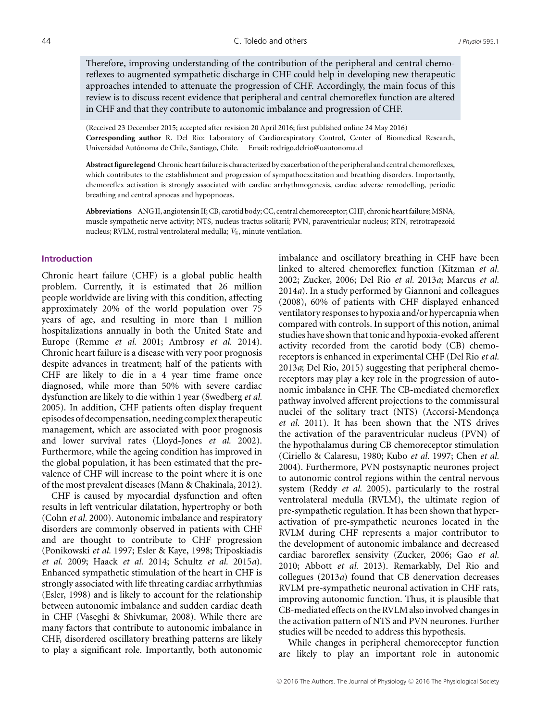Therefore, improving understanding of the contribution of the peripheral and central chemoreflexes to augmented sympathetic discharge in CHF could help in developing new therapeutic approaches intended to attenuate the progression of CHF. Accordingly, the main focus of this review is to discuss recent evidence that peripheral and central chemoreflex function are altered in CHF and that they contribute to autonomic imbalance and progression of CHF.

(Received 23 December 2015; accepted after revision 20 April 2016; first published online 24 May 2016) **Corresponding author** R. Del Rio: Laboratory of Cardiorespiratory Control, Center of Biomedical Research, Universidad Autónoma de Chile, Santiago, Chile. Email: rodrigo.delrio@uautonoma.cl

**Abstract figurelegend** Chronic heart failure is characterized by exacerbation of the peripheral and central chemoreflexes, which contributes to the establishment and progression of sympathoexcitation and breathing disorders. Importantly, chemoreflex activation is strongly associated with cardiac arrhythmogenesis, cardiac adverse remodelling, periodic breathing and central apnoeas and hypopnoeas.

**Abbreviations** ANG II, angiotensin II; CB, carotid body; CC, central chemoreceptor; CHF, chronic heartfailure;MSNA, muscle sympathetic nerve activity; NTS, nucleus tractus solitarii; PVN, paraventricular nucleus; RTN, retrotrapezoid nucleus; RVLM, rostral ventrolateral medulla;  $\dot{V}_{E}$ , minute ventilation.

### **Introduction**

Chronic heart failure (CHF) is a global public health problem. Currently, it is estimated that 26 million people worldwide are living with this condition, affecting approximately 20% of the world population over 75 years of age, and resulting in more than 1 million hospitalizations annually in both the United State and Europe (Remme *et al.* 2001; Ambrosy *et al.* 2014). Chronic heart failure is a disease with very poor prognosis despite advances in treatment; half of the patients with CHF are likely to die in a 4 year time frame once diagnosed, while more than 50% with severe cardiac dysfunction are likely to die within 1 year (Swedberg *et al.* 2005). In addition, CHF patients often display frequent episodes of decompensation, needing complex therapeutic management, which are associated with poor prognosis and lower survival rates (Lloyd-Jones *et al.* 2002). Furthermore, while the ageing condition has improved in the global population, it has been estimated that the prevalence of CHF will increase to the point where it is one of the most prevalent diseases (Mann & Chakinala, 2012).

CHF is caused by myocardial dysfunction and often results in left ventricular dilatation, hypertrophy or both (Cohn *et al.* 2000). Autonomic imbalance and respiratory disorders are commonly observed in patients with CHF and are thought to contribute to CHF progression (Ponikowski *et al.* 1997; Esler & Kaye, 1998; Triposkiadis *et al.* 2009; Haack *et al.* 2014; Schultz *et al.* 2015*a*). Enhanced sympathetic stimulation of the heart in CHF is strongly associated with life threating cardiac arrhythmias (Esler, 1998) and is likely to account for the relationship between autonomic imbalance and sudden cardiac death in CHF (Vaseghi & Shivkumar, 2008). While there are many factors that contribute to autonomic imbalance in CHF, disordered oscillatory breathing patterns are likely to play a significant role. Importantly, both autonomic imbalance and oscillatory breathing in CHF have been linked to altered chemoreflex function (Kitzman *et al.* 2002; Zucker, 2006; Del Rio *et al.* 2013*a*; Marcus *et al.* 2014*a*). In a study performed by Giannoni and colleagues (2008), 60% of patients with CHF displayed enhanced ventilatory responses to hypoxia and/or hypercapnia when compared with controls. In support of this notion, animal studies have shown that tonic and hypoxia-evoked afferent activity recorded from the carotid body (CB) chemoreceptors is enhanced in experimental CHF (Del Rio *et al.* 2013*a*; Del Rio, 2015) suggesting that peripheral chemoreceptors may play a key role in the progression of autonomic imbalance in CHF. The CB-mediated chemoreflex pathway involved afferent projections to the commissural nuclei of the solitary tract (NTS) (Accorsi-Mendonça *et al.* 2011). It has been shown that the NTS drives the activation of the paraventricular nucleus (PVN) of the hypothalamus during CB chemoreceptor stimulation (Ciriello & Calaresu, 1980; Kubo *et al.* 1997; Chen *et al.* 2004). Furthermore, PVN postsynaptic neurones project to autonomic control regions within the central nervous system (Reddy *et al.* 2005), particularly to the rostral ventrolateral medulla (RVLM), the ultimate region of pre-sympathetic regulation. It has been shown that hyperactivation of pre-sympathetic neurones located in the RVLM during CHF represents a major contributor to the development of autonomic imbalance and decreased cardiac baroreflex sensivity (Zucker, 2006; Gao *et al.* 2010; Abbott *et al.* 2013). Remarkably, Del Rio and collegues (2013*a*) found that CB denervation decreases RVLM pre-sympathetic neuronal activation in CHF rats, improving autonomic function. Thus, it is plausible that CB-mediated effects on the RVLM also involved changes in the activation pattern of NTS and PVN neurones. Further studies will be needed to address this hypothesis.

While changes in peripheral chemoreceptor function are likely to play an important role in autonomic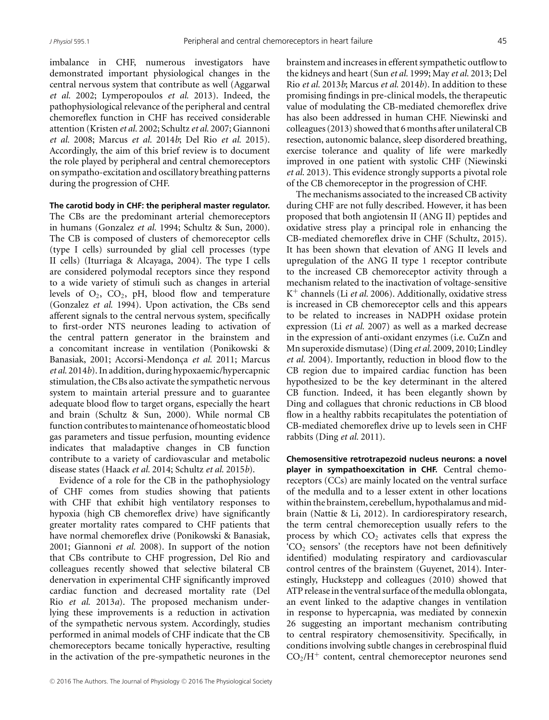imbalance in CHF, numerous investigators have demonstrated important physiological changes in the central nervous system that contribute as well (Aggarwal *et al.* 2002; Lymperopoulos *et al.* 2013). Indeed, the pathophysiological relevance of the peripheral and central chemoreflex function in CHF has received considerable attention (Kristen *et al.* 2002; Schultz *et al.* 2007; Giannoni *et al.* 2008; Marcus *et al.* 2014*b*; Del Rio *et al.* 2015). Accordingly, the aim of this brief review is to document the role played by peripheral and central chemoreceptors on sympatho-excitation and oscillatory breathing patterns during the progression of CHF.

#### **The carotid body in CHF: the peripheral master regulator.**

The CBs are the predominant arterial chemoreceptors in humans (Gonzalez *et al.* 1994; Schultz & Sun, 2000). The CB is composed of clusters of chemoreceptor cells (type I cells) surrounded by glial cell processes (type II cells) (Iturriaga & Alcayaga, 2004). The type I cells are considered polymodal receptors since they respond to a wide variety of stimuli such as changes in arterial levels of  $O_2$ ,  $CO_2$ , pH, blood flow and temperature (Gonzalez *et al.* 1994). Upon activation, the CBs send afferent signals to the central nervous system, specifically to first-order NTS neurones leading to activation of the central pattern generator in the brainstem and a concomitant increase in ventilation (Ponikowski & Banasiak, 2001; Accorsi-Mendonça et al. 2011; Marcus *et al.* 2014*b*). In addition, during hypoxaemic/hypercapnic stimulation, the CBs also activate the sympathetic nervous system to maintain arterial pressure and to guarantee adequate blood flow to target organs, especially the heart and brain (Schultz & Sun, 2000). While normal CB function contributes to maintenance of homeostatic blood gas parameters and tissue perfusion, mounting evidence indicates that maladaptive changes in CB function contribute to a variety of cardiovascular and metabolic disease states (Haack *et al.* 2014; Schultz *et al.* 2015*b*).

Evidence of a role for the CB in the pathophysiology of CHF comes from studies showing that patients with CHF that exhibit high ventilatory responses to hypoxia (high CB chemoreflex drive) have significantly greater mortality rates compared to CHF patients that have normal chemoreflex drive (Ponikowski & Banasiak, 2001; Giannoni *et al.* 2008). In support of the notion that CBs contribute to CHF progression, Del Rio and colleagues recently showed that selective bilateral CB denervation in experimental CHF significantly improved cardiac function and decreased mortality rate (Del Rio *et al.* 2013*a*). The proposed mechanism underlying these improvements is a reduction in activation of the sympathetic nervous system. Accordingly, studies performed in animal models of CHF indicate that the CB chemoreceptors became tonically hyperactive, resulting in the activation of the pre-sympathetic neurones in the brainstem and increases in efferent sympathetic outflow to the kidneys and heart (Sun *et al.* 1999; May *et al.* 2013; Del Rio *et al.* 2013*b*; Marcus *et al.* 2014*b*). In addition to these promising findings in pre-clinical models, the therapeutic value of modulating the CB-mediated chemoreflex drive has also been addressed in human CHF. Niewinski and colleagues (2013) showed that 6 months after unilateral CB resection, autonomic balance, sleep disordered breathing, exercise tolerance and quality of life were markedly improved in one patient with systolic CHF (Niewinski *et al.* 2013). This evidence strongly supports a pivotal role of the CB chemoreceptor in the progression of CHF.

The mechanisms associated to the increased CB activity during CHF are not fully described. However, it has been proposed that both angiotensin II (ANG II) peptides and oxidative stress play a principal role in enhancing the CB-mediated chemoreflex drive in CHF (Schultz, 2015). It has been shown that elevation of ANG II levels and upregulation of the ANG II type 1 receptor contribute to the increased CB chemoreceptor activity through a mechanism related to the inactivation of voltage-sensitive K<sup>+</sup> channels (Li *et al.* 2006). Additionally, oxidative stress is increased in CB chemoreceptor cells and this appears to be related to increases in NADPH oxidase protein expression (Li *et al.* 2007) as well as a marked decrease in the expression of anti-oxidant enzymes (i.e. CuZn and Mn superoxide dismutase) (Ding *et al.* 2009, 2010; Lindley *et al.* 2004). Importantly, reduction in blood flow to the CB region due to impaired cardiac function has been hypothesized to be the key determinant in the altered CB function. Indeed, it has been elegantly shown by Ding and collagues that chronic reductions in CB blood flow in a healthy rabbits recapitulates the potentiation of CB-mediated chemoreflex drive up to levels seen in CHF rabbits (Ding *et al.* 2011).

**Chemosensitive retrotrapezoid nucleus neurons: a novel player in sympathoexcitation in CHF.** Central chemoreceptors (CCs) are mainly located on the ventral surface of the medulla and to a lesser extent in other locations within the brainstem, cerebellum, hypothalamus and midbrain (Nattie & Li, 2012). In cardiorespiratory research, the term central chemoreception usually refers to the process by which  $CO<sub>2</sub>$  activates cells that express the  $^{\circ}CO_{2}$  sensors' (the receptors have not been definitively identified) modulating respiratory and cardiovascular control centres of the brainstem (Guyenet, 2014). Interestingly, Huckstepp and colleagues (2010) showed that ATP release in the ventral surface of the medulla oblongata, an event linked to the adaptive changes in ventilation in response to hypercapnia, was mediated by connexin 26 suggesting an important mechanism contributing to central respiratory chemosensitivity. Specifically, in conditions involving subtle changes in cerebrospinal fluid  $CO<sub>2</sub>/H<sup>+</sup>$  content, central chemoreceptor neurones send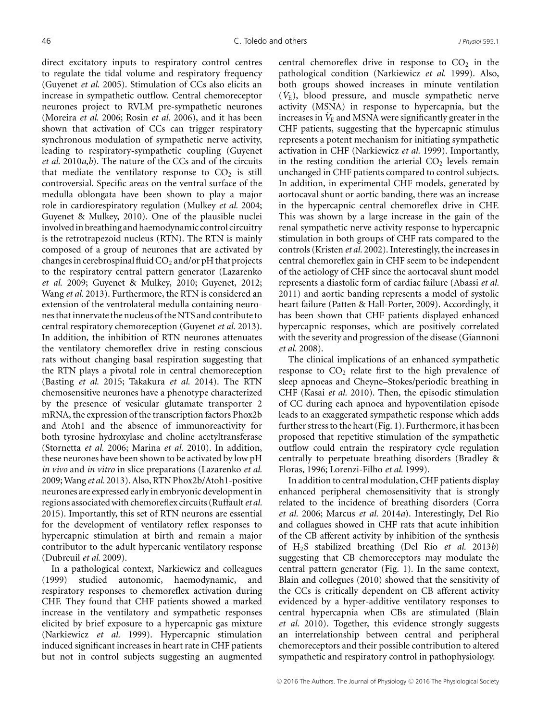direct excitatory inputs to respiratory control centres to regulate the tidal volume and respiratory frequency (Guyenet *et al.* 2005). Stimulation of CCs also elicits an increase in sympathetic outflow. Central chemoreceptor neurones project to RVLM pre-sympathetic neurones (Moreira *et al.* 2006; Rosin *et al.* 2006), and it has been shown that activation of CCs can trigger respiratory synchronous modulation of sympathetic nerve activity, leading to respiratory-sympathetic coupling (Guyenet *et al.* 2010*a*,*b*). The nature of the CCs and of the circuits that mediate the ventilatory response to  $CO<sub>2</sub>$  is still controversial. Specific areas on the ventral surface of the medulla oblongata have been shown to play a major role in cardiorespiratory regulation (Mulkey *et al.* 2004; Guyenet & Mulkey, 2010). One of the plausible nuclei involved in breathing and haemodynamic control circuitry is the retrotrapezoid nucleus (RTN). The RTN is mainly composed of a group of neurones that are activated by changes in cerebrospinal fluid  $CO_2$  and/or pH that projects to the respiratory central pattern generator (Lazarenko *et al.* 2009; Guyenet & Mulkey, 2010; Guyenet, 2012; Wang *et al.* 2013). Furthermore, the RTN is considered an extension of the ventrolateral medulla containing neurones that innervate the nucleus of the NTS and contribute to central respiratory chemoreception (Guyenet *et al.* 2013). In addition, the inhibition of RTN neurones attenuates the ventilatory chemoreflex drive in resting conscious rats without changing basal respiration suggesting that the RTN plays a pivotal role in central chemoreception (Basting *et al.* 2015; Takakura *et al.* 2014). The RTN chemosensitive neurones have a phenotype characterized by the presence of vesicular glutamate transporter 2 mRNA, the expression of the transcription factors Phox2b and Atoh1 and the absence of immunoreactivity for both tyrosine hydroxylase and choline acetyltransferase (Stornetta *et al.* 2006; Marina *et al.* 2010). In addition, these neurones have been shown to be activated by low pH *in vivo* and *in vitro* in slice preparations (Lazarenko *et al.* 2009;Wang *et al.* 2013). Also, RTN Phox2b/Atoh1-positive neurones are expressed early in embryonic development in regions associated with chemoreflex circuits (Ruffault*et al.* 2015). Importantly, this set of RTN neurons are essential for the development of ventilatory reflex responses to hypercapnic stimulation at birth and remain a major contributor to the adult hypercanic ventilatory response (Dubreuil *et al.* 2009).

In a pathological context, Narkiewicz and colleagues (1999) studied autonomic, haemodynamic, and respiratory responses to chemoreflex activation during CHF. They found that CHF patients showed a marked increase in the ventilatory and sympathetic responses elicited by brief exposure to a hypercapnic gas mixture (Narkiewicz *et al.* 1999). Hypercapnic stimulation induced significant increases in heart rate in CHF patients but not in control subjects suggesting an augmented central chemoreflex drive in response to  $CO<sub>2</sub>$  in the pathological condition (Narkiewicz *et al.* 1999). Also, both groups showed increases in minute ventilation  $(\dot{V}_{\rm E})$ , blood pressure, and muscle sympathetic nerve activity (MSNA) in response to hypercapnia, but the increases in  $V_{\rm E}$  and MSNA were significantly greater in the CHF patients, suggesting that the hypercapnic stimulus represents a potent mechanism for initiating sympathetic activation in CHF (Narkiewicz *et al.* 1999). Importantly, in the resting condition the arterial  $CO<sub>2</sub>$  levels remain unchanged in CHF patients compared to control subjects. In addition, in experimental CHF models, generated by aortocaval shunt or aortic banding, there was an increase in the hypercapnic central chemoreflex drive in CHF. This was shown by a large increase in the gain of the renal sympathetic nerve activity response to hypercapnic stimulation in both groups of CHF rats compared to the controls (Kristen *et al.* 2002). Interestingly, the increases in central chemoreflex gain in CHF seem to be independent of the aetiology of CHF since the aortocaval shunt model represents a diastolic form of cardiac failure (Abassi *et al.* 2011) and aortic banding represents a model of systolic heart failure (Patten & Hall-Porter, 2009). Accordingly, it has been shown that CHF patients displayed enhanced hypercapnic responses, which are positively correlated with the severity and progression of the disease (Giannoni *et al.* 2008).

The clinical implications of an enhanced sympathetic response to  $CO<sub>2</sub>$  relate first to the high prevalence of sleep apnoeas and Cheyne–Stokes/periodic breathing in CHF (Kasai *et al.* 2010). Then, the episodic stimulation of CC during each apnoea and hypoventilation episode leads to an exaggerated sympathetic response which adds further stress to the heart (Fig. 1). Furthermore, it has been proposed that repetitive stimulation of the sympathetic outflow could entrain the respiratory cycle regulation centrally to perpetuate breathing disorders (Bradley & Floras, 1996; Lorenzi-Filho *et al.* 1999).

In addition to central modulation, CHF patients display enhanced peripheral chemosensitivity that is strongly related to the incidence of breathing disorders (Corra *et al.* 2006; Marcus *et al.* 2014*a*). Interestingly, Del Rio and collagues showed in CHF rats that acute inhibition of the CB afferent activity by inhibition of the synthesis of H2S stabilized breathing (Del Rio *et al.* 2013*b*) suggesting that CB chemoreceptors may modulate the central pattern generator (Fig. 1). In the same context, Blain and collegues (2010) showed that the sensitivity of the CCs is critically dependent on CB afferent activity evidenced by a hyper-additive ventilatory responses to central hypercapnia when CBs are stimulated (Blain *et al.* 2010). Together, this evidence strongly suggests an interrelationship between central and peripheral chemoreceptors and their possible contribution to altered sympathetic and respiratory control in pathophysiology.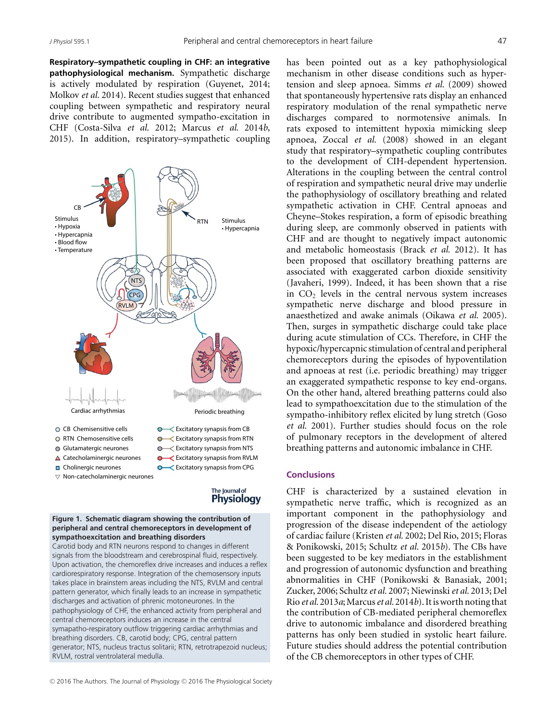**Respiratory–sympathetic coupling in CHF: an integrative pathophysiological mechanism.** Sympathetic discharge is actively modulated by respiration (Guyenet, 2014; Molkov *et al.* 2014). Recent studies suggest that enhanced coupling between sympathetic and respiratory neural drive contribute to augmented sympatho-excitation in CHF (Costa-Silva *et al.* 2012; Marcus *et al.* 2014*b*, 2015). In addition, respiratory–sympathetic coupling



#### The Journal of **Physiology**

#### **Figure 1. Schematic diagram showing the contribution of peripheral and central chemoreceptors in development of sympathoexcitation and breathing disorders**

Carotid body and RTN neurons respond to changes in different signals from the bloodstream and cerebrospinal fluid, respectively. Upon activation, the chemoreflex drive increases and induces a reflex cardiorespiratory response. Integration of the chemosensory inputs takes place in brainstem areas including the NTS, RVLM and central pattern generator, which finally leads to an increase in sympathetic discharges and activation of phrenic motoneurones. In the pathophysiology of CHF, the enhanced activity from peripheral and central chemoreceptors induces an increase in the central symapatho-respiratory outflow triggering cardiac arrhythmias and breathing disorders. CB, carotid body; CPG, central pattern generator; NTS, nucleus tractus solitarii; RTN, retrotrapezoid nucleus; RVLM, rostral ventrolateral medulla.

has been pointed out as a key pathophysiological mechanism in other disease conditions such as hypertension and sleep apnoea. Simms *et al.* (2009) showed that spontaneously hypertensive rats display an enhanced respiratory modulation of the renal sympathetic nerve discharges compared to normotensive animals. In rats exposed to intemittent hypoxia mimicking sleep apnoea, Zoccal *et al.* (2008) showed in an elegant study that respiratory–sympathetic coupling contributes to the development of CIH-dependent hypertension. Alterations in the coupling between the central control of respiration and sympathetic neural drive may underlie the pathophysiology of oscillatory breathing and related sympathetic activation in CHF. Central apnoeas and Cheyne–Stokes respiration, a form of episodic breathing during sleep, are commonly observed in patients with CHF and are thought to negatively impact autonomic and metabolic homeostasis (Brack *et al.* 2012). It has been proposed that oscillatory breathing patterns are associated with exaggerated carbon dioxide sensitivity (Javaheri, 1999). Indeed, it has been shown that a rise in  $CO<sub>2</sub>$  levels in the central nervous system increases sympathetic nerve discharge and blood pressure in anaesthetized and awake animals (Oikawa *et al.* 2005). Then, surges in sympathetic discharge could take place during acute stimulation of CCs. Therefore, in CHF the hypoxic/hypercapnic stimulation of central and peripheral chemoreceptors during the episodes of hypoventilation and apnoeas at rest (i.e. periodic breathing) may trigger an exaggerated sympathetic response to key end-organs. On the other hand, altered breathing patterns could also lead to sympathoexcitation due to the stimulation of the sympatho-inhibitory reflex elicited by lung stretch (Goso *et al.* 2001). Further studies should focus on the role of pulmonary receptors in the development of altered breathing patterns and autonomic imbalance in CHF.

### **Conclusions**

CHF is characterized by a sustained elevation in sympathetic nerve traffic, which is recognized as an important component in the pathophysiology and progression of the disease independent of the aetiology of cardiac failure (Kristen *et al.* 2002; Del Rio, 2015; Floras & Ponikowski, 2015; Schultz *et al.* 2015*b*). The CBs have been suggested to be key mediators in the establishment and progression of autonomic dysfunction and breathing abnormalities in CHF (Ponikowski & Banasiak, 2001; Zucker, 2006; Schultz *et al.* 2007; Niewinski*et al.* 2013; Del Rio *et al.* 2013*a*;Marcus*et al.* 2014*b*). It is worth noting that the contribution of CB-mediated peripheral chemoreflex drive to autonomic imbalance and disordered breathing patterns has only been studied in systolic heart failure. Future studies should address the potential contribution of the CB chemoreceptors in other types of CHF.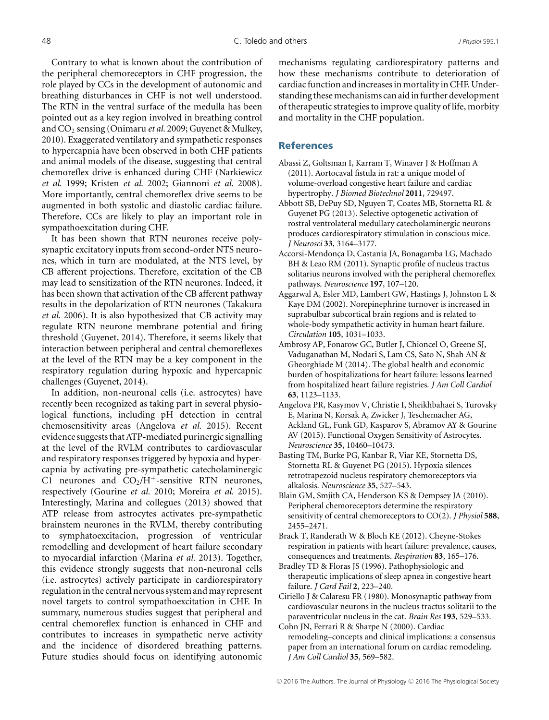Contrary to what is known about the contribution of the peripheral chemoreceptors in CHF progression, the role played by CCs in the development of autonomic and breathing disturbances in CHF is not well understood. The RTN in the ventral surface of the medulla has been pointed out as a key region involved in breathing control and CO2 sensing (Onimaru *et al.* 2009; Guyenet & Mulkey, 2010). Exaggerated ventilatory and sympathetic responses to hypercapnia have been observed in both CHF patients and animal models of the disease, suggesting that central chemoreflex drive is enhanced during CHF (Narkiewicz *et al.* 1999; Kristen *et al.* 2002; Giannoni *et al.* 2008). More importantly, central chemoreflex drive seems to be augmented in both systolic and diastolic cardiac failure. Therefore, CCs are likely to play an important role in sympathoexcitation during CHF.

It has been shown that RTN neurones receive polysynaptic excitatory inputs from second-order NTS neurones, which in turn are modulated, at the NTS level, by CB afferent projections. Therefore, excitation of the CB may lead to sensitization of the RTN neurones. Indeed, it has been shown that activation of the CB afferent pathway results in the depolarization of RTN neurones (Takakura *et al.* 2006). It is also hypothesized that CB activity may regulate RTN neurone membrane potential and firing threshold (Guyenet, 2014). Therefore, it seems likely that interaction between peripheral and central chemoreflexes at the level of the RTN may be a key component in the respiratory regulation during hypoxic and hypercapnic challenges (Guyenet, 2014).

In addition, non-neuronal cells (i.e. astrocytes) have recently been recognized as taking part in several physiological functions, including pH detection in central chemosensitivity areas (Angelova *et al.* 2015). Recent evidence suggests that ATP-mediated purinergic signalling at the level of the RVLM contributes to cardiovascular and respiratory responses triggered by hypoxia and hypercapnia by activating pre-sympathetic catecholaminergic C1 neurones and  $CO<sub>2</sub>/H<sup>+</sup>$ -sensitive RTN neurones, respectively (Gourine *et al.* 2010; Moreira *et al.* 2015). Interestingly, Marina and collegues (2013) showed that ATP release from astrocytes activates pre-sympathetic brainstem neurones in the RVLM, thereby contributing to symphatoexcitacion, progression of ventricular remodelling and development of heart failure secondary to myocardial infarction (Marina *et al.* 2013). Together, this evidence strongly suggests that non-neuronal cells (i.e. astrocytes) actively participate in cardiorespiratory regulation in the central nervous system and may represent novel targets to control sympathoexcitation in CHF. In summary, numerous studies suggest that peripheral and central chemoreflex function is enhanced in CHF and contributes to increases in sympathetic nerve activity and the incidence of disordered breathing patterns. Future studies should focus on identifying autonomic mechanisms regulating cardiorespiratory patterns and how these mechanisms contribute to deterioration of cardiac function and increases in mortality in CHF. Understanding these mechanisms can aid in further development of therapeutic strategies to improve quality of life, morbity and mortality in the CHF population.

### **References**

- Abassi Z, Goltsman I, Karram T, Winaver J & Hoffman A (2011). Aortocaval fistula in rat: a unique model of volume-overload congestive heart failure and cardiac hypertrophy. *J Biomed Biotechnol* **2011**, 729497.
- Abbott SB, DePuy SD, Nguyen T, Coates MB, Stornetta RL & Guyenet PG (2013). Selective optogenetic activation of rostral ventrolateral medullary catecholaminergic neurons produces cardiorespiratory stimulation in conscious mice. *J Neurosci* **33**, 3164–3177.
- Accorsi-Mendonça D, Castania JA, Bonagamba LG, Machado BH & Leao RM (2011). Synaptic profile of nucleus tractus solitarius neurons involved with the peripheral chemoreflex pathways. *Neuroscience* **197**, 107–120.
- Aggarwal A, Esler MD, Lambert GW, Hastings J, Johnston L & Kaye DM (2002). Norepinephrine turnover is increased in suprabulbar subcortical brain regions and is related to whole-body sympathetic activity in human heart failure. *Circulation* **105**, 1031–1033.
- Ambrosy AP, Fonarow GC, Butler J, Chioncel O, Greene SJ, Vaduganathan M, Nodari S, Lam CS, Sato N, Shah AN & Gheorghiade M (2014). The global health and economic burden of hospitalizations for heart failure: lessons learned from hospitalized heart failure registries. *J Am Coll Cardiol* **63**, 1123–1133.
- Angelova PR, Kasymov V, Christie I, Sheikhbahaei S, Turovsky E, Marina N, Korsak A, Zwicker J, Teschemacher AG, Ackland GL, Funk GD, Kasparov S, Abramov AY & Gourine AV (2015). Functional Oxygen Sensitivity of Astrocytes. *Neuroscience* **35**, 10460–10473.
- Basting TM, Burke PG, Kanbar R, Viar KE, Stornetta DS, Stornetta RL & Guyenet PG (2015). Hypoxia silences retrotrapezoid nucleus respiratory chemoreceptors via alkalosis. *Neuroscience* **35**, 527–543.
- Blain GM, Smjith CA, Henderson KS & Dempsey JA (2010). Peripheral chemoreceptors determine the respiratory sensitivity of central chemoreceptors to CO(2). *J Physiol* **588**, 2455–2471.
- Brack T, Randerath W & Bloch KE (2012). Cheyne-Stokes respiration in patients with heart failure: prevalence, causes, consequences and treatments. *Respiration* **83**, 165–176.
- Bradley TD & Floras JS (1996). Pathophysiologic and therapeutic implications of sleep apnea in congestive heart failure. *J Card Fail* **2**, 223–240.
- Ciriello J & Calaresu FR (1980). Monosynaptic pathway from cardiovascular neurons in the nucleus tractus solitarii to the paraventricular nucleus in the cat. *Brain Res* **193**, 529–533.
- Cohn JN, Ferrari R & Sharpe N (2000). Cardiac remodeling–concepts and clinical implications: a consensus paper from an international forum on cardiac remodeling. *J Am Coll Cardiol* **35**, 569–582.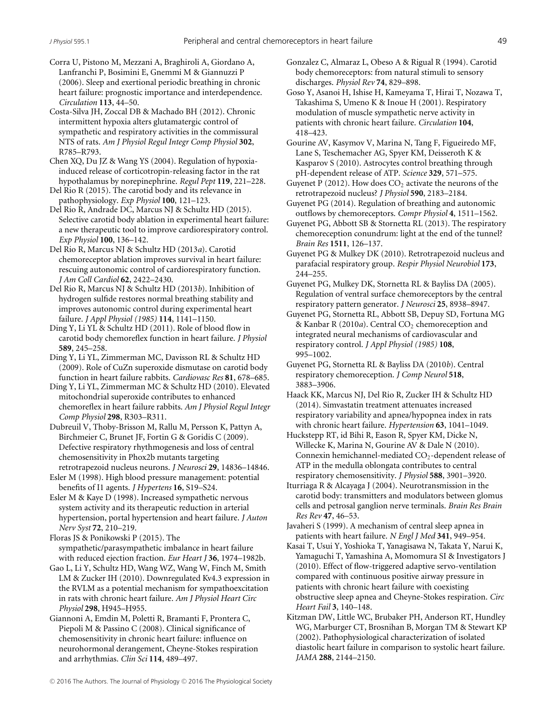Corra U, Pistono M, Mezzani A, Braghiroli A, Giordano A, Lanfranchi P, Bosimini E, Gnemmi M & Giannuzzi P (2006). Sleep and exertional periodic breathing in chronic heart failure: prognostic importance and interdependence. *Circulation* **113**, 44–50.

Costa-Silva JH, Zoccal DB & Machado BH (2012). Chronic intermittent hypoxia alters glutamatergic control of sympathetic and respiratory activities in the commissural NTS of rats. *Am J Physiol Regul Integr Comp Physiol* **302**, R785–R793.

Chen XQ, Du JZ & Wang YS (2004). Regulation of hypoxiainduced release of corticotropin-releasing factor in the rat hypothalamus by norepinephrine. *Regul Pept* **119**, 221–228.

Del Rio R (2015). The carotid body and its relevance in pathophysiology. *Exp Physiol* **100**, 121–123.

Del Rio R, Andrade DC, Marcus NJ & Schultz HD (2015). Selective carotid body ablation in experimental heart failure: a new therapeutic tool to improve cardiorespiratory control. *Exp Physiol* **100**, 136–142.

Del Rio R, Marcus NJ & Schultz HD (2013*a*). Carotid chemoreceptor ablation improves survival in heart failure: rescuing autonomic control of cardiorespiratory function. *J Am Coll Cardiol* **62**, 2422–2430.

Del Rio R, Marcus NJ & Schultz HD (2013*b*). Inhibition of hydrogen sulfide restores normal breathing stability and improves autonomic control during experimental heart failure. *J Appl Physiol (1985)* **114**, 1141–1150.

Ding Y, Li YL & Schultz HD (2011). Role of blood flow in carotid body chemoreflex function in heart failure. *J Physiol* **589**, 245–258.

Ding Y, Li YL, Zimmerman MC, Davisson RL & Schultz HD (2009). Role of CuZn superoxide dismutase on carotid body function in heart failure rabbits. *Cardiovasc Res* **81**, 678–685.

Ding Y, Li YL, Zimmerman MC & Schultz HD (2010). Elevated mitochondrial superoxide contributes to enhanced chemoreflex in heart failure rabbits. *Am J Physiol Regul Integr Comp Physiol* **298**, R303–R311.

Dubreuil V, Thoby-Brisson M, Rallu M, Persson K, Pattyn A, Birchmeier C, Brunet JF, Fortin G & Goridis C (2009). Defective respiratory rhythmogenesis and loss of central chemosensitivity in Phox2b mutants targeting

retrotrapezoid nucleus neurons. *J Neurosci* **29**, 14836–14846. Esler M (1998). High blood pressure management: potential benefits of I1 agents. *J Hypertens* **16**, S19–S24.

Esler M & Kaye D (1998). Increased sympathetic nervous system activity and its therapeutic reduction in arterial hypertension, portal hypertension and heart failure. *J Auton Nerv Syst* **72**, 210–219.

Floras JS & Ponikowski P (2015). The sympathetic/parasympathetic imbalance in heart failure with reduced ejection fraction. *Eur Heart J* **36**, 1974–1982b.

Gao L, Li Y, Schultz HD, Wang WZ, Wang W, Finch M, Smith LM & Zucker IH (2010). Downregulated Kv4.3 expression in the RVLM as a potential mechanism for sympathoexcitation in rats with chronic heart failure. *Am J Physiol Heart Circ Physiol* **298**, H945–H955.

Giannoni A, Emdin M, Poletti R, Bramanti F, Prontera C, Piepoli M & Passino C (2008). Clinical significance of chemosensitivity in chronic heart failure: influence on neurohormonal derangement, Cheyne-Stokes respiration and arrhythmias. *Clin Sci* **114**, 489–497.

Gonzalez C, Almaraz L, Obeso A & Rigual R (1994). Carotid body chemoreceptors: from natural stimuli to sensory discharges. *Physiol Rev* **74**, 829–898.

Goso Y, Asanoi H, Ishise H, Kameyama T, Hirai T, Nozawa T, Takashima S, Umeno K & Inoue H (2001). Respiratory modulation of muscle sympathetic nerve activity in patients with chronic heart failure. *Circulation* **104**, 418–423.

Gourine AV, Kasymov V, Marina N, Tang F, Figueiredo MF, Lane S, Teschemacher AG, Spyer KM, Deisseroth K & Kasparov S (2010). Astrocytes control breathing through pH-dependent release of ATP. *Science* **329**, 571–575.

- Guyenet P (2012). How does  $CO<sub>2</sub>$  activate the neurons of the retrotrapezoid nucleus? *J Physiol* **590**, 2183–2184.
- Guyenet PG (2014). Regulation of breathing and autonomic outflows by chemoreceptors. *Compr Physiol* **4**, 1511–1562.
- Guyenet PG, Abbott SB & Stornetta RL (2013). The respiratory chemoreception conundrum: light at the end of the tunnel? *Brain Res* **1511**, 126–137.
- Guyenet PG & Mulkey DK (2010). Retrotrapezoid nucleus and parafacial respiratory group. *Respir Physiol Neurobiol* **173**, 244–255.

Guyenet PG, Mulkey DK, Stornetta RL & Bayliss DA (2005). Regulation of ventral surface chemoreceptors by the central respiratory pattern generator. *J Neurosci* **25**, 8938–8947.

Guyenet PG, Stornetta RL, Abbott SB, Depuy SD, Fortuna MG & Kanbar R (2010*a*). Central CO<sub>2</sub> chemoreception and integrated neural mechanisms of cardiovascular and respiratory control. *J Appl Physiol (1985)* **108**, 995–1002.

Guyenet PG, Stornetta RL & Bayliss DA (2010*b*). Central respiratory chemoreception. *J Comp Neurol* **518**, 3883–3906.

Haack KK, Marcus NJ, Del Rio R, Zucker IH & Schultz HD (2014). Simvastatin treatment attenuates increased respiratory variability and apnea/hypopnea index in rats with chronic heart failure. *Hypertension* **63**, 1041–1049.

Huckstepp RT, id Bihi R, Eason R, Spyer KM, Dicke N, Willecke K, Marina N, Gourine AV & Dale N (2010). Connexin hemichannel-mediated  $CO<sub>2</sub>$ -dependent release of ATP in the medulla oblongata contributes to central respiratory chemosensitivity. *J Physiol* **588**, 3901–3920.

Iturriaga R & Alcayaga J (2004). Neurotransmission in the carotid body: transmitters and modulators between glomus cells and petrosal ganglion nerve terminals. *Brain Res Brain Res Rev* **47**, 46–53.

Javaheri S (1999). A mechanism of central sleep apnea in patients with heart failure. *N Engl J Med* **341**, 949–954.

Kasai T, Usui Y, Yoshioka T, Yanagisawa N, Takata Y, Narui K, Yamaguchi T, Yamashina A, Momomura SI & Investigators J (2010). Effect of flow-triggered adaptive servo-ventilation compared with continuous positive airway pressure in patients with chronic heart failure with coexisting obstructive sleep apnea and Cheyne-Stokes respiration. *Circ Heart Fail* **3**, 140–148.

Kitzman DW, Little WC, Brubaker PH, Anderson RT, Hundley WG, Marburger CT, Brosnihan B, Morgan TM & Stewart KP (2002). Pathophysiological characterization of isolated diastolic heart failure in comparison to systolic heart failure. *JAMA* **288**, 2144–2150.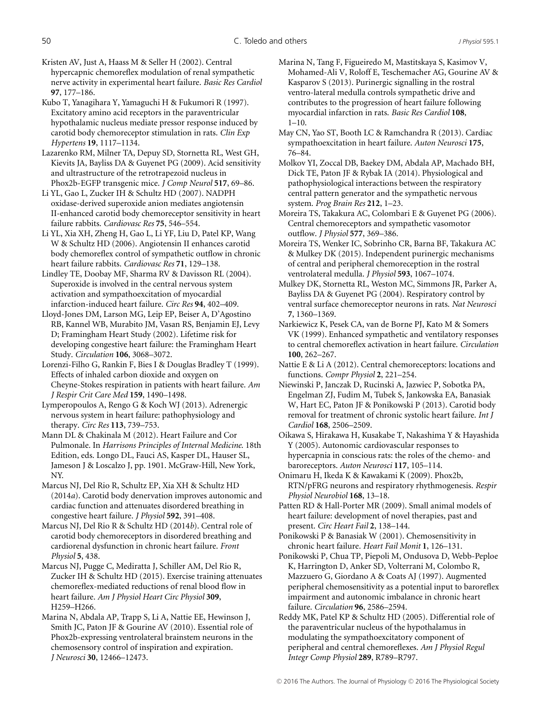Kristen AV, Just A, Haass M & Seller H (2002). Central hypercapnic chemoreflex modulation of renal sympathetic nerve activity in experimental heart failure. *Basic Res Cardiol* **97**, 177–186.

Kubo T, Yanagihara Y, Yamaguchi H & Fukumori R (1997). Excitatory amino acid receptors in the paraventricular hypothalamic nucleus mediate pressor response induced by carotid body chemoreceptor stimulation in rats. *Clin Exp Hypertens* **19**, 1117–1134.

Lazarenko RM, Milner TA, Depuy SD, Stornetta RL, West GH, Kievits JA, Bayliss DA & Guyenet PG (2009). Acid sensitivity and ultrastructure of the retrotrapezoid nucleus in Phox2b-EGFP transgenic mice. *J Comp Neurol* **517**, 69–86.

Li YL, Gao L, Zucker IH & Schultz HD (2007). NADPH oxidase-derived superoxide anion mediates angiotensin II-enhanced carotid body chemoreceptor sensitivity in heart failure rabbits. *Cardiovasc Res* **75**, 546–554.

Li YL, Xia XH, Zheng H, Gao L, Li YF, Liu D, Patel KP, Wang W & Schultz HD (2006). Angiotensin II enhances carotid body chemoreflex control of sympathetic outflow in chronic heart failure rabbits. *Cardiovasc Res* **71**, 129–138.

Lindley TE, Doobay MF, Sharma RV & Davisson RL (2004). Superoxide is involved in the central nervous system activation and sympathoexcitation of myocardial infarction-induced heart failure. *Circ Res* **94**, 402–409.

Lloyd-Jones DM, Larson MG, Leip EP, Beiser A, D'Agostino RB, Kannel WB, Murabito JM, Vasan RS, Benjamin EJ, Levy D; Framingham Heart Study (2002). Lifetime risk for developing congestive heart failure: the Framingham Heart Study. *Circulation* **106**, 3068–3072.

Lorenzi-Filho G, Rankin F, Bies I & Douglas Bradley T (1999). Effects of inhaled carbon dioxide and oxygen on Cheyne-Stokes respiration in patients with heart failure. *Am J Respir Crit Care Med* **159**, 1490–1498.

Lymperopoulos A, Rengo G & Koch WJ (2013). Adrenergic nervous system in heart failure: pathophysiology and therapy. *Circ Res* **113**, 739–753.

Mann DL & Chakinala M (2012). Heart Failure and Cor Pulmonale. In *Harrisons Principles of Internal Medicine*. 18th Edition, eds. Longo DL, Fauci AS, Kasper DL, Hauser SL, Jameson J & Loscalzo J, pp. 1901. McGraw-Hill, New York, NY.

Marcus NJ, Del Rio R, Schultz EP, Xia XH & Schultz HD (2014*a*). Carotid body denervation improves autonomic and cardiac function and attenuates disordered breathing in congestive heart failure. *J Physiol* **592**, 391–408.

Marcus NJ, Del Rio R & Schultz HD (2014*b*). Central role of carotid body chemoreceptors in disordered breathing and cardiorenal dysfunction in chronic heart failure. *Front Physiol* **5**, 438.

Marcus NJ, Pugge C, Mediratta J, Schiller AM, Del Rio R, Zucker IH & Schultz HD (2015). Exercise training attenuates chemoreflex-mediated reductions of renal blood flow in heart failure. *Am J Physiol Heart Circ Physiol* **309**, H259–H266.

Marina N, Abdala AP, Trapp S, Li A, Nattie EE, Hewinson J, Smith JC, Paton JF & Gourine AV (2010). Essential role of Phox2b-expressing ventrolateral brainstem neurons in the chemosensory control of inspiration and expiration. *J Neurosci* **30**, 12466–12473.

Marina N, Tang F, Figueiredo M, Mastitskaya S, Kasimov V, Mohamed-Ali V, Roloff E, Teschemacher AG, Gourine AV & Kasparov S (2013). Purinergic signalling in the rostral ventro-lateral medulla controls sympathetic drive and contributes to the progression of heart failure following myocardial infarction in rats. *Basic Res Cardiol* **108**,  $1 - 10$ .

May CN, Yao ST, Booth LC & Ramchandra R (2013). Cardiac sympathoexcitation in heart failure. *Auton Neurosci* **175**, 76–84.

Molkov YI, Zoccal DB, Baekey DM, Abdala AP, Machado BH, Dick TE, Paton JF & Rybak IA (2014). Physiological and pathophysiological interactions between the respiratory central pattern generator and the sympathetic nervous system. *Prog Brain Res* **212**, 1–23.

Moreira TS, Takakura AC, Colombari E & Guyenet PG (2006). Central chemoreceptors and sympathetic vasomotor outflow. *J Physiol* **577**, 369–386.

Moreira TS, Wenker IC, Sobrinho CR, Barna BF, Takakura AC & Mulkey DK (2015). Independent purinergic mechanisms of central and peripheral chemoreception in the rostral ventrolateral medulla. *J Physiol* **593**, 1067–1074.

Mulkey DK, Stornetta RL, Weston MC, Simmons JR, Parker A, Bayliss DA & Guyenet PG (2004). Respiratory control by ventral surface chemoreceptor neurons in rats. *Nat Neurosci* **7**, 1360–1369.

Narkiewicz K, Pesek CA, van de Borne PJ, Kato M & Somers VK (1999). Enhanced sympathetic and ventilatory responses to central chemoreflex activation in heart failure. *Circulation* **100**, 262–267.

Nattie E & Li A (2012). Central chemoreceptors: locations and functions. *Compr Physiol* **2**, 221–254.

Niewinski P, Janczak D, Rucinski A, Jazwiec P, Sobotka PA, Engelman ZJ, Fudim M, Tubek S, Jankowska EA, Banasiak W, Hart EC, Paton JF & Ponikowski P (2013). Carotid body removal for treatment of chronic systolic heart failure. *Int J Cardiol* **168**, 2506–2509.

Oikawa S, Hirakawa H, Kusakabe T, Nakashima Y & Hayashida Y (2005). Autonomic cardiovascular responses to hypercapnia in conscious rats: the roles of the chemo- and baroreceptors. *Auton Neurosci* **117**, 105–114.

Onimaru H, Ikeda K & Kawakami K (2009). Phox2b, RTN/pFRG neurons and respiratory rhythmogenesis. *Respir Physiol Neurobiol* **168**, 13–18.

Patten RD & Hall-Porter MR (2009). Small animal models of heart failure: development of novel therapies, past and present. *Circ Heart Fail* **2**, 138–144.

Ponikowski P & Banasiak W (2001). Chemosensitivity in chronic heart failure. *Heart Fail Monit* **1**, 126–131.

Ponikowski P, Chua TP, Piepoli M, Ondusova D, Webb-Peploe K, Harrington D, Anker SD, Volterrani M, Colombo R, Mazzuero G, Giordano A & Coats AJ (1997). Augmented peripheral chemosensitivity as a potential input to baroreflex impairment and autonomic imbalance in chronic heart failure. *Circulation* **96**, 2586–2594.

Reddy MK, Patel KP & Schultz HD (2005). Differential role of the paraventricular nucleus of the hypothalamus in modulating the sympathoexcitatory component of peripheral and central chemoreflexes. *Am J Physiol Regul Integr Comp Physiol* **289**, R789–R797.